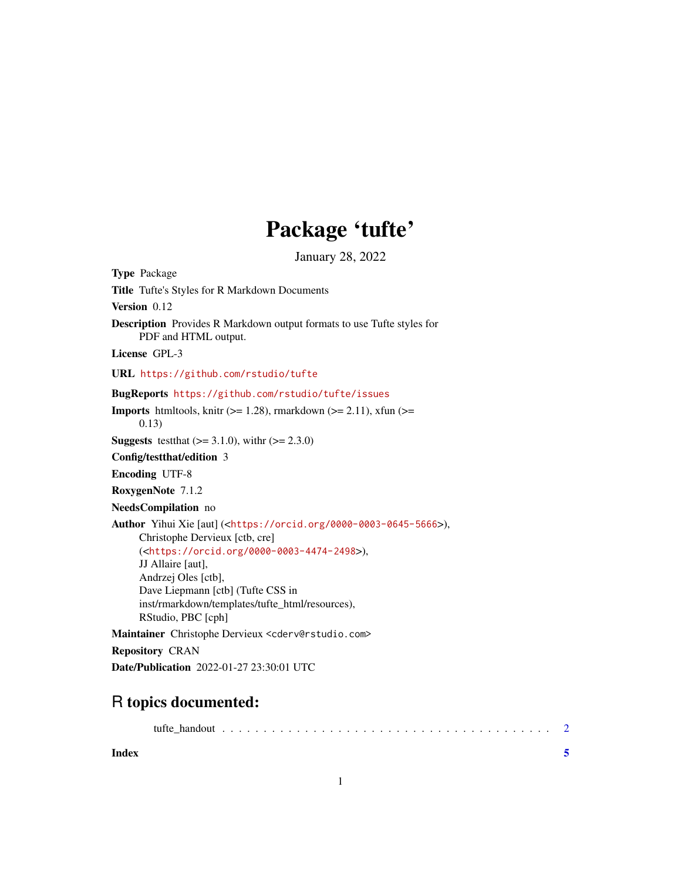# Package 'tufte'

January 28, 2022

<span id="page-0-0"></span>

| <b>Type Package</b>                                                                                                                                                                                                                                                                                                                                                                                                               |
|-----------------------------------------------------------------------------------------------------------------------------------------------------------------------------------------------------------------------------------------------------------------------------------------------------------------------------------------------------------------------------------------------------------------------------------|
| Title Tufte's Styles for R Markdown Documents                                                                                                                                                                                                                                                                                                                                                                                     |
| Version 0.12                                                                                                                                                                                                                                                                                                                                                                                                                      |
| <b>Description</b> Provides R Markdown output formats to use Tufte styles for<br>PDF and HTML output.                                                                                                                                                                                                                                                                                                                             |
| License GPL-3                                                                                                                                                                                                                                                                                                                                                                                                                     |
| URL https://github.com/rstudio/tufte                                                                                                                                                                                                                                                                                                                                                                                              |
| <b>BugReports</b> https://github.com/rstudio/tufte/issues                                                                                                                                                                                                                                                                                                                                                                         |
| <b>Imports</b> htmltools, knitr ( $> = 1.28$ ), rmarkdown ( $> = 2.11$ ), xfun ( $> = 1.28$ )<br>0.13)                                                                                                                                                                                                                                                                                                                            |
| <b>Suggests</b> test that $(>= 3.1.0)$ , with $(>= 2.3.0)$                                                                                                                                                                                                                                                                                                                                                                        |
| Config/testthat/edition 3                                                                                                                                                                                                                                                                                                                                                                                                         |
| <b>Encoding UTF-8</b>                                                                                                                                                                                                                                                                                                                                                                                                             |
| RoxygenNote 7.1.2                                                                                                                                                                                                                                                                                                                                                                                                                 |
| <b>NeedsCompilation</b> no                                                                                                                                                                                                                                                                                                                                                                                                        |
| <b>Author</b> Yihui Xie [aut] ( <https: 0000-0003-0645-5666="" orcid.org="">),<br/>Christophe Dervieux [ctb, cre]<br/>(<https: 0000-0003-4474-2498="" orcid.org="">),<br/>JJ Allaire [aut],<br/>Andrzej Oles [ctb],<br/>Dave Liepmann [ctb] (Tufte CSS in<br/>inst/rmarkdown/templates/tufte_html/resources),<br/>RStudio, PBC [cph]<br/>Maintainer Christophe Dervieux <cderv@rstudio.com></cderv@rstudio.com></https:></https:> |
| <b>Repository CRAN</b><br>Date/Publication 2022-01-27 23:30:01 UTC                                                                                                                                                                                                                                                                                                                                                                |
|                                                                                                                                                                                                                                                                                                                                                                                                                                   |

### R topics documented:

**Index** [5](#page-4-0). The second state of the second state of the second state of the second state of the second state of the second state of the second state of the second state of the second state of the second state of the second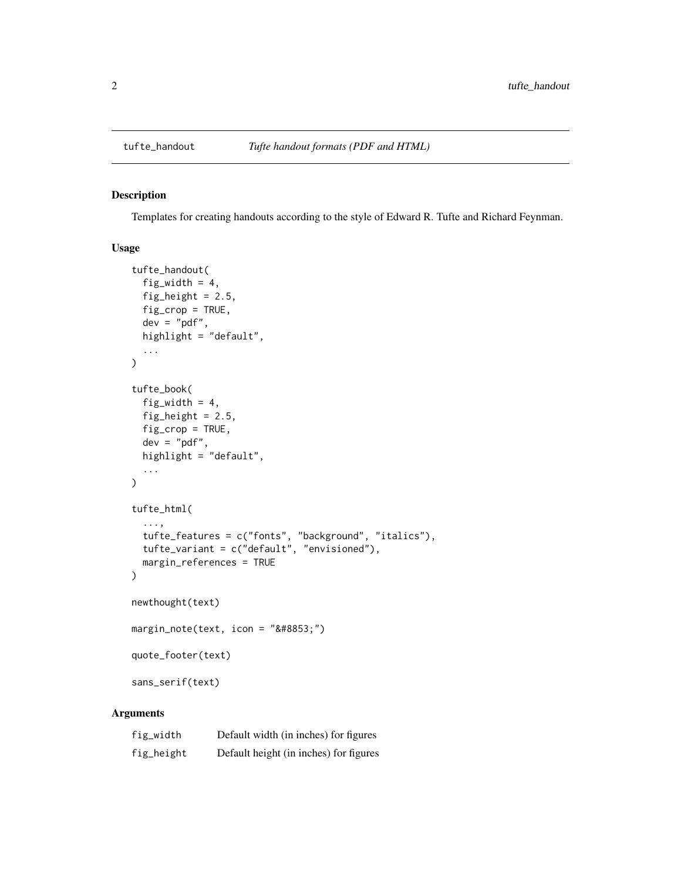<span id="page-1-0"></span>

#### Description

Templates for creating handouts according to the style of Edward R. Tufte and Richard Feynman.

#### Usage

```
tufte_handout(
  fig_width = 4,
  fig_height = 2.5,
  fig_crop = TRUE,
 dev = "pdf",highlight = "default",
  ...
\mathcal{E}tufte_book(
  fig_width = 4,
  fig_height = 2.5,
 fig_crop = TRUE,
  dev = "pdf",
 highlight = "default",
  ...
)
tufte_html(
  ...,
  tufte_features = c("fonts", "background", "italics"),
  tufte_variant = c("default", "envisioned"),
  margin_references = TRUE
)
newthought(text)
margin_note(text, icon = "⊕")
quote_footer(text)
sans_serif(text)
```
#### Arguments

| fig_width  | Default width (in inches) for figures  |
|------------|----------------------------------------|
| fig_height | Default height (in inches) for figures |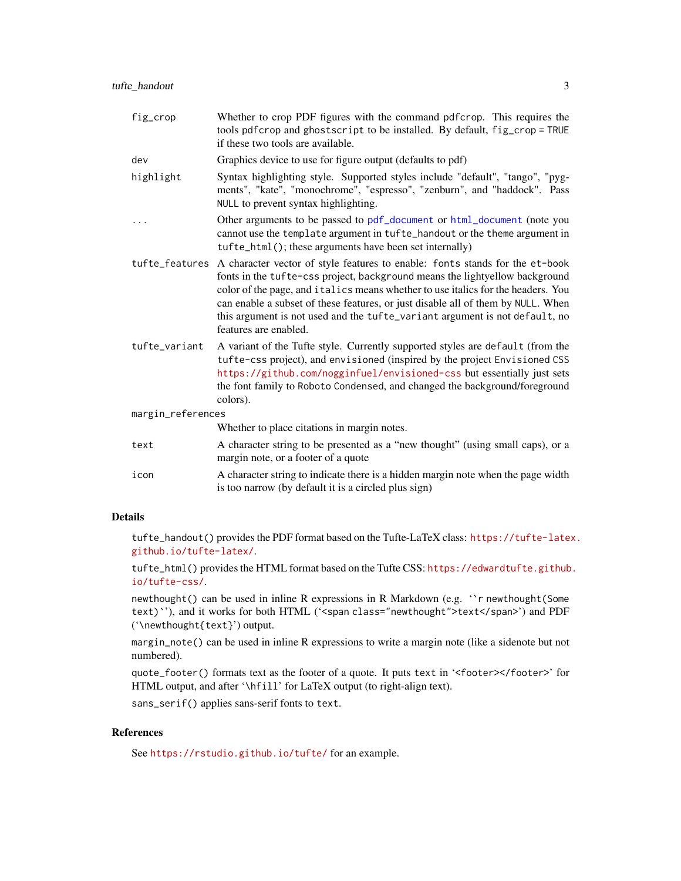<span id="page-2-0"></span>

| fig_crop          | Whether to crop PDF figures with the command pdf crop. This requires the<br>tools pdfcrop and ghostscript to be installed. By default, fig_crop = TRUE<br>if these two tools are available.                                                                                                                                                                                                                                                                |
|-------------------|------------------------------------------------------------------------------------------------------------------------------------------------------------------------------------------------------------------------------------------------------------------------------------------------------------------------------------------------------------------------------------------------------------------------------------------------------------|
| dev               | Graphics device to use for figure output (defaults to pdf)                                                                                                                                                                                                                                                                                                                                                                                                 |
| highlight         | Syntax highlighting style. Supported styles include "default", "tango", "pyg-<br>ments", "kate", "monochrome", "espresso", "zenburn", and "haddock". Pass<br>NULL to prevent syntax highlighting.                                                                                                                                                                                                                                                          |
|                   | Other arguments to be passed to pdf_document or html_document (note you<br>cannot use the template argument in tufte_handout or the theme argument in<br>tufte_html(); these arguments have been set internally)                                                                                                                                                                                                                                           |
|                   | tufte_features A character vector of style features to enable: fonts stands for the et-book<br>fonts in the tufte-css project, background means the lightyellow background<br>color of the page, and italics means whether to use italics for the headers. You<br>can enable a subset of these features, or just disable all of them by NULL. When<br>this argument is not used and the tufte_variant argument is not default, no<br>features are enabled. |
| tufte_variant     | A variant of the Tufte style. Currently supported styles are default (from the<br>tufte-css project), and envisioned (inspired by the project Envisioned CSS<br>https://github.com/nogginfuel/envisioned-css but essentially just sets<br>the font family to Roboto Condensed, and changed the background/foreground<br>colors).                                                                                                                           |
| margin_references |                                                                                                                                                                                                                                                                                                                                                                                                                                                            |
|                   | Whether to place citations in margin notes.                                                                                                                                                                                                                                                                                                                                                                                                                |
| text              | A character string to be presented as a "new thought" (using small caps), or a<br>margin note, or a footer of a quote                                                                                                                                                                                                                                                                                                                                      |
| icon              | A character string to indicate there is a hidden margin note when the page width<br>is too narrow (by default it is a circled plus sign)                                                                                                                                                                                                                                                                                                                   |

#### Details

tufte\_handout() provides the PDF format based on the Tufte-LaTeX class: [https://tufte-late](https://tufte-latex.github.io/tufte-latex/)x. [github.io/tufte-latex/](https://tufte-latex.github.io/tufte-latex/).

tufte\_html() provides the HTML format based on the Tufte CSS: [https://edwardtufte.github](https://edwardtufte.github.io/tufte-css/). [io/tufte-css/](https://edwardtufte.github.io/tufte-css/).

newthought() can be used in inline R expressions in R Markdown (e.g. '`r newthought(Some text)''), and it works for both HTML ('<span class="newthought">text</span>') and PDF ('\newthought{text}') output.

margin\_note() can be used in inline R expressions to write a margin note (like a sidenote but not numbered).

quote\_footer() formats text as the footer of a quote. It puts text in '<footer></footer>' for HTML output, and after '\hfill' for LaTeX output (to right-align text).

sans\_serif() applies sans-serif fonts to text.

#### References

See <https://rstudio.github.io/tufte/> for an example.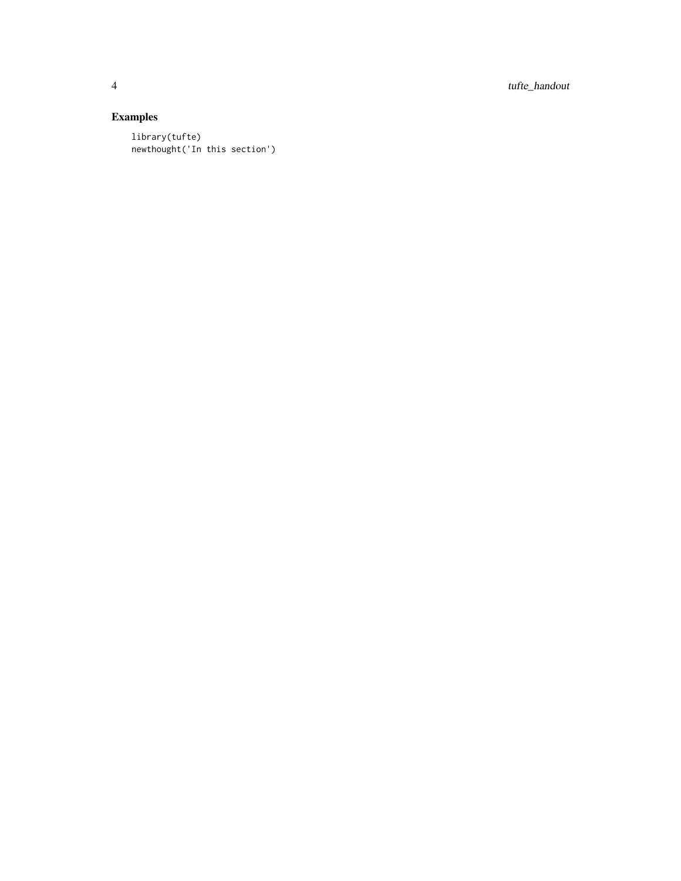4 tufte\_handout

### Examples

library(tufte) newthought('In this section')